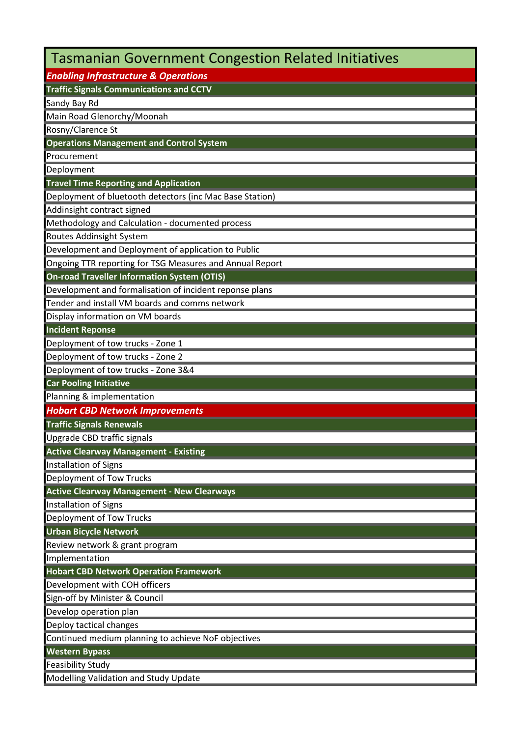| <b>Tasmanian Government Congestion Related Initiatives</b> |
|------------------------------------------------------------|
| <b>Enabling Infrastructure &amp; Operations</b>            |
| <b>Traffic Signals Communications and CCTV</b>             |
| Sandy Bay Rd                                               |
| Main Road Glenorchy/Moonah                                 |
| Rosny/Clarence St                                          |
| <b>Operations Management and Control System</b>            |
| Procurement                                                |
| Deployment                                                 |
| <b>Travel Time Reporting and Application</b>               |
| Deployment of bluetooth detectors (inc Mac Base Station)   |
| Addinsight contract signed                                 |
| Methodology and Calculation - documented process           |
| Routes Addinsight System                                   |
| Development and Deployment of application to Public        |
| Ongoing TTR reporting for TSG Measures and Annual Report   |
| <b>On-road Traveller Information System (OTIS)</b>         |
| Development and formalisation of incident reponse plans    |
| Tender and install VM boards and comms network             |
| Display information on VM boards                           |
| <b>Incident Reponse</b>                                    |
| Deployment of tow trucks - Zone 1                          |
| Deployment of tow trucks - Zone 2                          |
| Deployment of tow trucks - Zone 3&4                        |
| <b>Car Pooling Initiative</b>                              |
| Planning & implementation                                  |
| <b>Hobart CBD Network Improvements</b>                     |
| <b>Traffic Signals Renewals</b>                            |
| Upgrade CBD traffic signals                                |
| <b>Active Clearway Management - Existing</b>               |
| Installation of Signs                                      |
| Deployment of Tow Trucks                                   |
| <b>Active Clearway Management - New Clearways</b>          |
| Installation of Signs                                      |
| Deployment of Tow Trucks                                   |
| <b>Urban Bicycle Network</b>                               |
| Review network & grant program                             |
| Implementation                                             |
| <b>Hobart CBD Network Operation Framework</b>              |
| Development with COH officers                              |
| Sign-off by Minister & Council                             |
| Develop operation plan                                     |
| Deploy tactical changes                                    |
| Continued medium planning to achieve NoF objectives        |
| <b>Western Bypass</b>                                      |
| <b>Feasibility Study</b>                                   |
| Modelling Validation and Study Update                      |